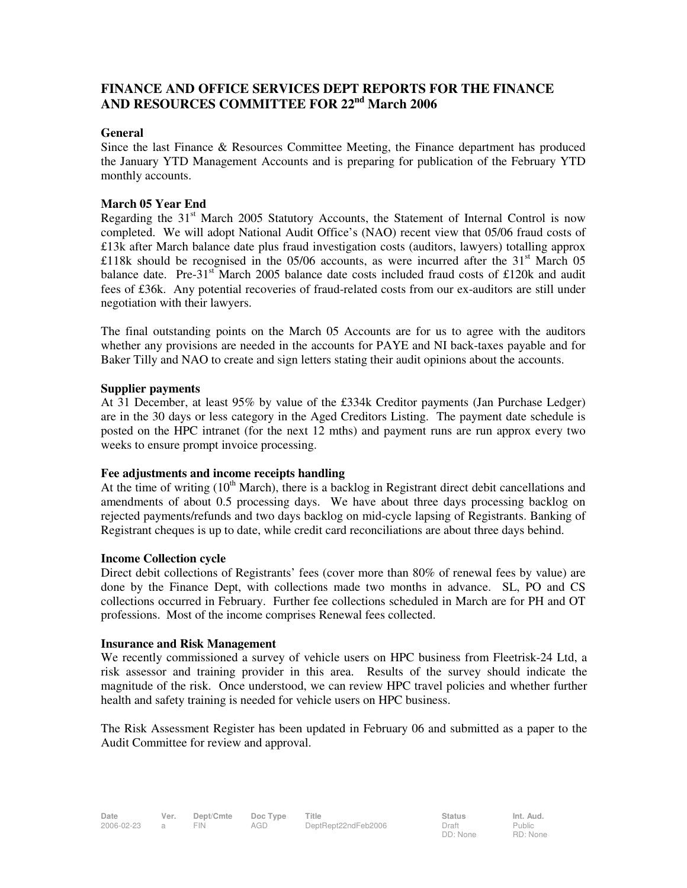# **FINANCE AND OFFICE SERVICES DEPT REPORTS FOR THE FINANCE AND RESOURCES COMMITTEE FOR 22nd March 2006**

### **General**

Since the last Finance & Resources Committee Meeting, the Finance department has produced the January YTD Management Accounts and is preparing for publication of the February YTD monthly accounts.

## **March 05 Year End**

Regarding the  $31<sup>st</sup>$  March 2005 Statutory Accounts, the Statement of Internal Control is now completed. We will adopt National Audit Office's (NAO) recent view that 05/06 fraud costs of £13k after March balance date plus fraud investigation costs (auditors, lawyers) totalling approx £118k should be recognised in the 05/06 accounts, as were incurred after the 31<sup>st</sup> March 05 balance date. Pre-31 $\mathrm{st}$  March 2005 balance date costs included fraud costs of £120k and audit fees of £36k.Any potential recoveries of fraud-related costs from our ex-auditors are still under negotiation with their lawyers.

The final outstanding points on the March 05 Accounts are for us to agree with the auditors whether any provisions are needed in the accounts for PAYE and NI back-taxes payable and for Baker Tilly and NAO to create and sign letters stating their audit opinions about the accounts.

### **Supplier payments**

At 31 December, at least 95% by value of the £334k Creditor payments (Jan Purchase Ledger) are in the 30 days or less category in the Aged Creditors Listing. The payment date schedule is posted on the HPC intranet (for the next 12 mths) and payment runs are run approx every two weeks to ensure prompt invoice processing.

### **Fee adjustments and income receipts handling**

At the time of writing  $(10<sup>th</sup> March)$ , there is a backlog in Registrant direct debit cancellations and amendments of about 0.5 processing days. We have about three days processing backlog on rejected payments/refunds and two days backlog on mid-cycle lapsing of Registrants. Banking of Registrant cheques is up to date, while credit card reconciliations are about three days behind.

#### **Income Collection cycle**

Direct debit collections of Registrants' fees (cover more than 80% of renewal fees by value) are done by the Finance Dept, with collections made two months in advance. SL, PO and CS collections occurred in February. Further fee collections scheduled in March are for PH and OT professions. Most of the income comprises Renewal fees collected.

#### **Insurance and Risk Management**

We recently commissioned a survey of vehicle users on HPC business from Fleetrisk-24 Ltd, a risk assessor and training provider in this area. Results of the survey should indicate the magnitude of the risk. Once understood, we can review HPC travel policies and whether further health and safety training is needed for vehicle users on HPC business.

The Risk Assessment Register has been updated in February 06 and submitted as a paper to the Audit Committee for review and approval.

Public RD: None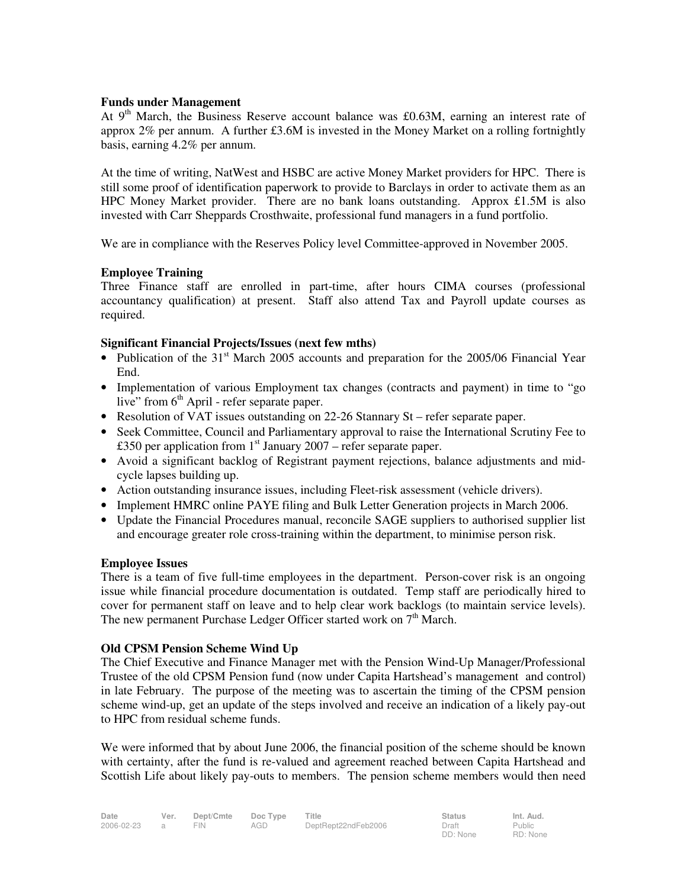### **Funds under Management**

At  $9<sup>th</sup>$  March, the Business Reserve account balance was £0.63M, earning an interest rate of approx 2% per annum. A further £3.6M is invested in the Money Market on a rolling fortnightly basis, earning 4.2% per annum.

At the time of writing, NatWest and HSBC are active Money Market providers for HPC. There is still some proof of identification paperwork to provide to Barclays in order to activate them as an HPC Money Market provider. There are no bank loans outstanding. Approx  $£1.5M$  is also invested with Carr Sheppards Crosthwaite, professional fund managers in a fund portfolio.

We are in compliance with the Reserves Policy level Committee-approved in November 2005.

### **Employee Training**

Three Finance staff are enrolled in part-time, after hours CIMA courses (professional accountancy qualification) at present. Staff also attend Tax and Payroll update courses as required.

### **Significant Financial Projects/Issues (next few mths)**

- Publication of the  $31<sup>st</sup>$  March 2005 accounts and preparation for the 2005/06 Financial Year End.
- Implementation of various Employment tax changes (contracts and payment) in time to "go live" from  $6<sup>th</sup>$  April - refer separate paper.
- Resolution of VAT issues outstanding on 22-26 Stannary St refer separate paper.
- Seek Committee, Council and Parliamentary approval to raise the International Scrutiny Fee to £350 per application from 1<sup>st</sup> January 2007 – refer separate paper.
- Avoid a significant backlog of Registrant payment rejections, balance adjustments and midcycle lapses building up.
- Action outstanding insurance issues, including Fleet-risk assessment (vehicle drivers).
- Implement HMRC online PAYE filing and Bulk Letter Generation projects in March 2006.
- Update the Financial Procedures manual, reconcile SAGE suppliers to authorised supplier list and encourage greater role cross-training within the department, to minimise person risk.

#### **Employee Issues**

There is a team of five full-time employees in the department. Person-cover risk is an ongoing issue while financial procedure documentation is outdated. Temp staff are periodically hired to cover for permanent staff on leave and to help clear work backlogs (to maintain service levels). The new permanent Purchase Ledger Officer started work on 7<sup>th</sup> March.

#### **Old CPSM Pension Scheme Wind Up**

The Chief Executive and Finance Manager met with the Pension Wind-Up Manager/Professional Trustee of the old CPSM Pension fund (now under Capita Hartshead's management and control) in late February. The purpose of the meeting was to ascertain the timing of the CPSM pension scheme wind-up, get an update of the steps involved and receive an indication of a likely pay-out to HPC from residual scheme funds.

We were informed that by about June 2006, the financial position of the scheme should be known with certainty, after the fund is re-valued and agreement reached between Capita Hartshead and Scottish Life about likely pay-outs to members. The pension scheme members would then need

Public RD: None